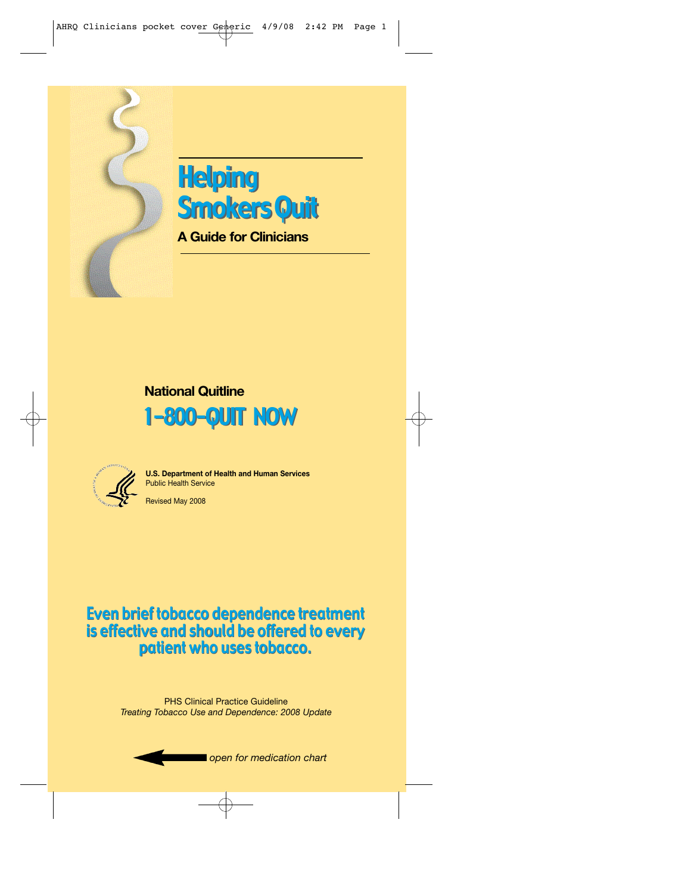



**A Guide for Clinicians**

### **National Quitline**





**U.S. Department of Health and Human Services** Public Health Service

Revised May 2008

### Even brief tobacco dependence treatment Even brief tobaccodependence treatment is effective and should be offered to every is effective and should be offeredto everypatient who uses tobacco. patient who uses tobacco.

PHS Clinical Practice Guideline *Treating Tobacco Use and Dependence: 2008 Update*

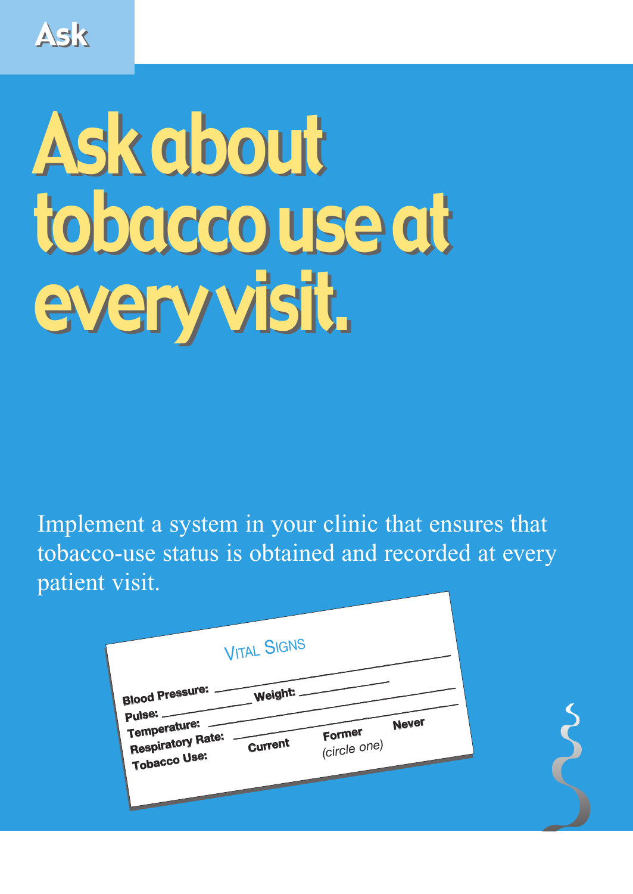Ask

# Ask about Ask about tobacco use at tobacco use at every visit. every visit.

Implement a system in your clinic that ensures that tobacco-use status is obtained and recorded at every patient visit.

| <b>VITAL SIGNS</b>                                                                                            |                                 |  |
|---------------------------------------------------------------------------------------------------------------|---------------------------------|--|
| <b>Blood Pressure:</b><br>Weight.<br>Pulse: -<br>Temperature:<br>Respiratory Rate:<br>Current<br>Tobacco Use: | Never<br>Former<br>(circle one) |  |
|                                                                                                               |                                 |  |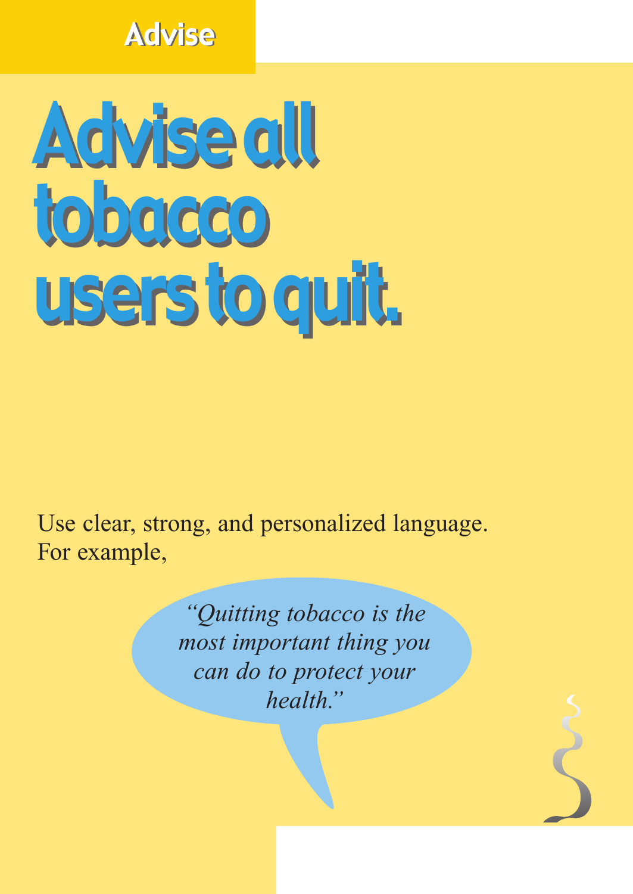### Advise Advise

# Advise all Advise all tobacco tobacco users to quit. users to quit.

Use clear, strong, and personalized language. For example,

> *"Quitting tobacco is the most important thing you can do to protect your health."*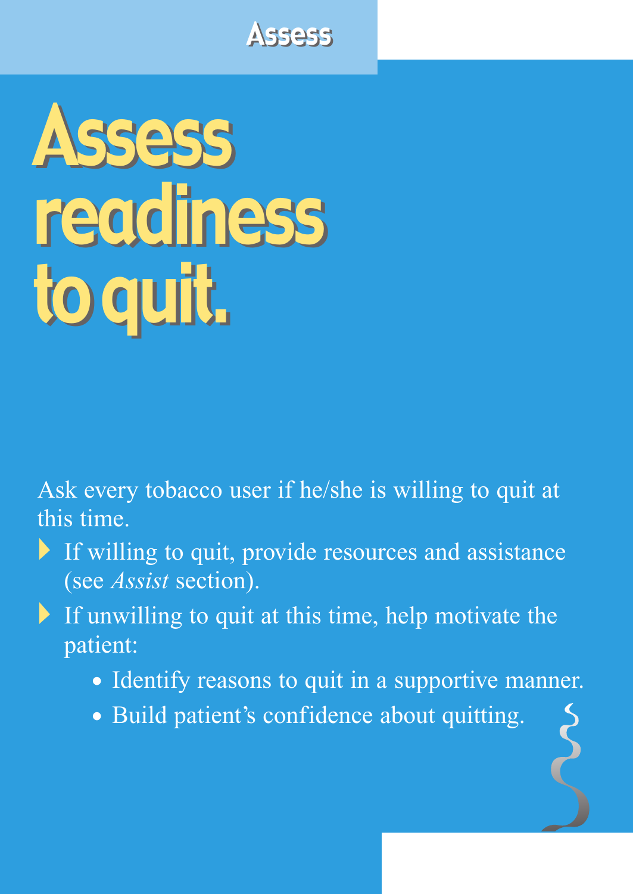### **Assess**

# Assess Assess readiness readiness to quit. to quit.

Ask every tobacco user if he/she is willing to quit at this time.

- If willing to quit, provide resources and assistance (see *Assist* section).
- If unwilling to quit at this time, help motivate the patient:
	- Identify reasons to quit in a supportive manner.
	- Build patient's confidence about quitting.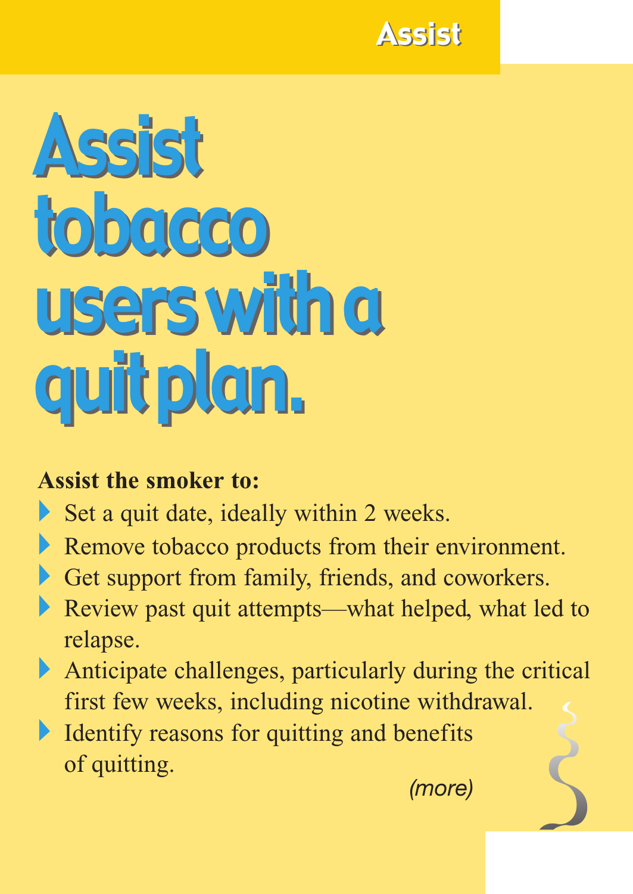

# Assist Assist tobacco tobacco users with a users with a quit plan. quit plan.

#### **Assist the smoker to:**

- Set a quit date, ideally within 2 weeks.
- Remove tobacco products from their environment.
- Get support from family, friends, and coworkers.
- Review past quit attempts—what helped, what led to relapse.
- Anticipate challenges, particularly during the critical first few weeks, including nicotine withdrawal.
- Identify reasons for quitting and benefits of quitting. *(more)*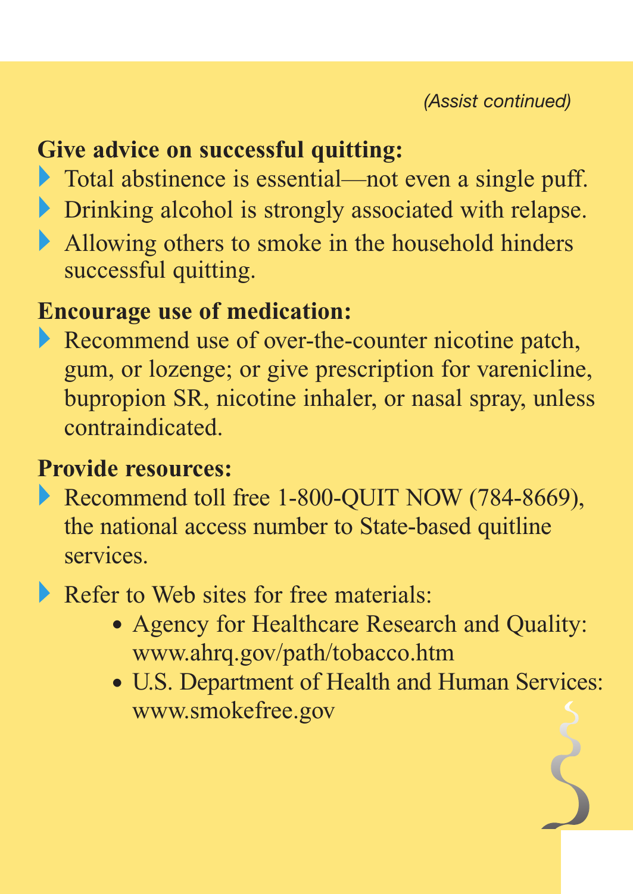#### **Give advice on successful quitting:**

- Total abstinence is essential—not even a single puff.
- Drinking alcohol is strongly associated with relapse.
- Allowing others to smoke in the household hinders successful quitting.

#### **Encourage use of medication:**

Recommend use of over-the-counter nicotine patch, gum, or lozenge; or give prescription for varenicline, bupropion SR, nicotine inhaler, or nasal spray, unless contraindicated.

#### **Provide resources:**

- Recommend toll free 1-800-QUIT NOW (784-8669), the national access number to State-based quitline services.
- Refer to Web sites for free materials:
	- Agency for Healthcare Research and Quality: www.ahrq.gov/path/tobacco.htm
	- U.S. Department of Health and Human Services: www.smokefree.gov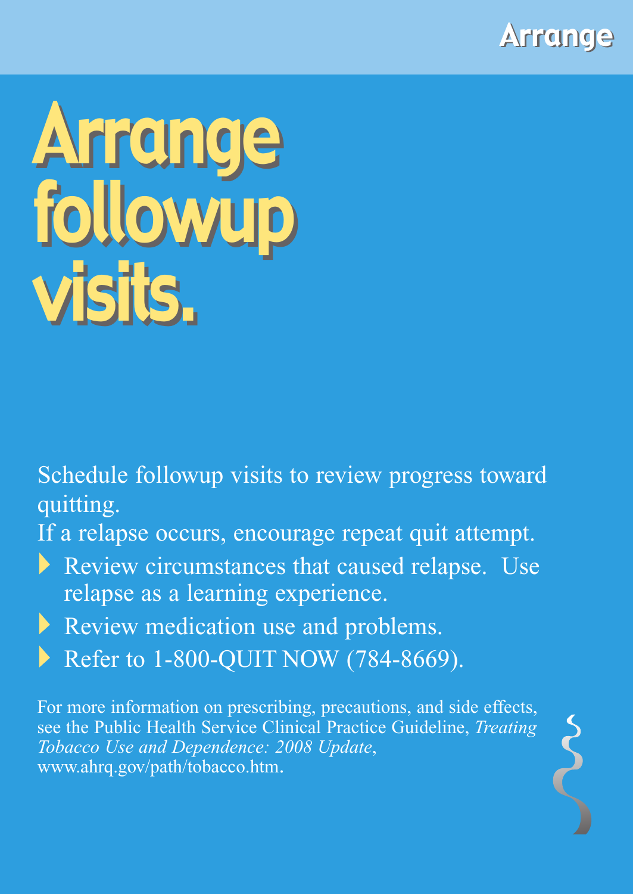

## Arrange followup visits. visits.Arrange followup

Schedule followup visits to review progress toward quitting.

If a relapse occurs, encourage repeat quit attempt.

Review circumstances that caused relapse. Use relapse as a learning experience.

Review medication use and problems.

Refer to 1-800-QUIT NOW (784-8669).

For more information on prescribing, precautions, and side effects, see the Public Health Service Clinical Practice Guideline, *Treating Tobacco Use and Dependence: 2008 Update*, www.ahrq.gov/path/tobacco.htm.